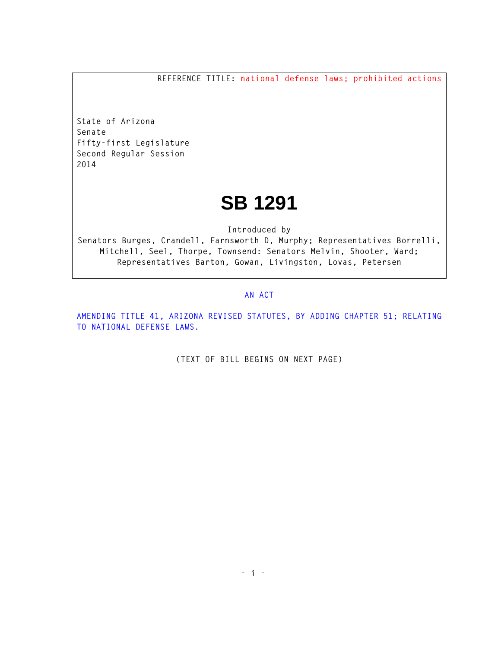**REFERENCE TITLE: national defense laws; prohibited actions** 

**State of Arizona Senate Fifty-first Legislature Second Regular Session 2014** 

## **SB 1291**

**Introduced by** 

**Senators Burges, Crandell, Farnsworth D, Murphy; Representatives Borrelli, Mitchell, Seel, Thorpe, Townsend: Senators Melvin, Shooter, Ward; Representatives Barton, Gowan, Livingston, Lovas, Petersen** 

## **AN ACT**

**AMENDING TITLE 41, ARIZONA REVISED STATUTES, BY ADDING CHAPTER 51; RELATING TO NATIONAL DEFENSE LAWS.** 

**(TEXT OF BILL BEGINS ON NEXT PAGE)**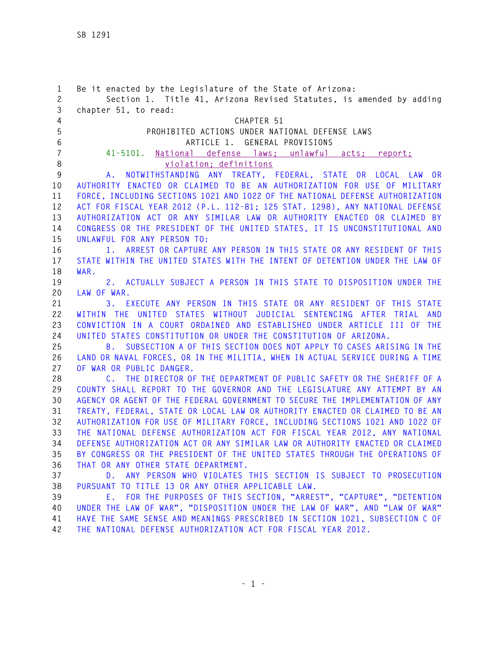**1 Be it enacted by the Legislature of the State of Arizona: 2 Section 1. Title 41, Arizona Revised Statutes, is amended by adding 3 chapter 51, to read: 4 CHAPTER 51 5 PROHIBITED ACTIONS UNDER NATIONAL DEFENSE LAWS 6 ARTICLE 1. GENERAL PROVISIONS 7 41-5101. National defense laws; unlawful acts; report; 8 violation; definitions 9 A. NOTWITHSTANDING ANY TREATY, FEDERAL, STATE OR LOCAL LAW OR 10 AUTHORITY ENACTED OR CLAIMED TO BE AN AUTHORIZATION FOR USE OF MILITARY 11 FORCE, INCLUDING SECTIONS 1021 AND 1022 OF THE NATIONAL DEFENSE AUTHORIZATION 12 ACT FOR FISCAL YEAR 2012 (P.L. 112-81; 125 STAT. 1298), ANY NATIONAL DEFENSE 13 AUTHORIZATION ACT OR ANY SIMILAR LAW OR AUTHORITY ENACTED OR CLAIMED BY 14 CONGRESS OR THE PRESIDENT OF THE UNITED STATES, IT IS UNCONSTITUTIONAL AND 15 UNLAWFUL FOR ANY PERSON TO: 16 1. ARREST OR CAPTURE ANY PERSON IN THIS STATE OR ANY RESIDENT OF THIS 17 STATE WITHIN THE UNITED STATES WITH THE INTENT OF DETENTION UNDER THE LAW OF 18 WAR. 19 2. ACTUALLY SUBJECT A PERSON IN THIS STATE TO DISPOSITION UNDER THE 20 LAW OF WAR. 21 3. EXECUTE ANY PERSON IN THIS STATE OR ANY RESIDENT OF THIS STATE 22 WITHIN THE UNITED STATES WITHOUT JUDICIAL SENTENCING AFTER TRIAL AND 23 CONVICTION IN A COURT ORDAINED AND ESTABLISHED UNDER ARTICLE III OF THE 24 UNITED STATES CONSTITUTION OR UNDER THE CONSTITUTION OF ARIZONA. 25 B. SUBSECTION A OF THIS SECTION DOES NOT APPLY TO CASES ARISING IN THE 26 LAND OR NAVAL FORCES, OR IN THE MILITIA, WHEN IN ACTUAL SERVICE DURING A TIME 27 OF WAR OR PUBLIC DANGER. 28 C. THE DIRECTOR OF THE DEPARTMENT OF PUBLIC SAFETY OR THE SHERIFF OF A 29 COUNTY SHALL REPORT TO THE GOVERNOR AND THE LEGISLATURE ANY ATTEMPT BY AN 30 AGENCY OR AGENT OF THE FEDERAL GOVERNMENT TO SECURE THE IMPLEMENTATION OF ANY 31 TREATY, FEDERAL, STATE OR LOCAL LAW OR AUTHORITY ENACTED OR CLAIMED TO BE AN 32 AUTHORIZATION FOR USE OF MILITARY FORCE, INCLUDING SECTIONS 1021 AND 1022 OF 33 THE NATIONAL DEFENSE AUTHORIZATION ACT FOR FISCAL YEAR 2012, ANY NATIONAL 34 DEFENSE AUTHORIZATION ACT OR ANY SIMILAR LAW OR AUTHORITY ENACTED OR CLAIMED 35 BY CONGRESS OR THE PRESIDENT OF THE UNITED STATES THROUGH THE OPERATIONS OF 36 THAT OR ANY OTHER STATE DEPARTMENT. 37 D. ANY PERSON WHO VIOLATES THIS SECTION IS SUBJECT TO PROSECUTION 38 PURSUANT TO TITLE 13 OR ANY OTHER APPLICABLE LAW. 39 E. FOR THE PURPOSES OF THIS SECTION, "ARREST", "CAPTURE", "DETENTION 40 UNDER THE LAW OF WAR", "DISPOSITION UNDER THE LAW OF WAR", AND "LAW OF WAR" 41 HAVE THE SAME SENSE AND MEANINGS PRESCRIBED IN SECTION 1021, SUBSECTION C OF 42 THE NATIONAL DEFENSE AUTHORIZATION ACT FOR FISCAL YEAR 2012.**